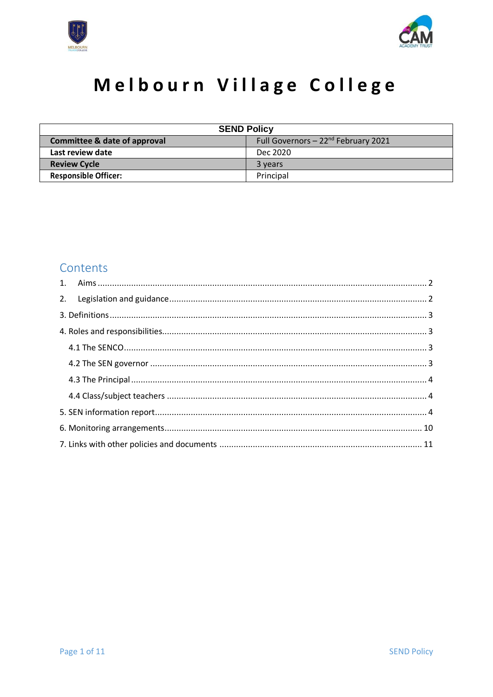



# Melbourn Village College

| <b>SEND Policy</b>                      |                                         |  |
|-----------------------------------------|-----------------------------------------|--|
| <b>Committee &amp; date of approval</b> | Full Governors $-22^{nd}$ February 2021 |  |
| Last review date                        | Dec 2020                                |  |
| <b>Review Cycle</b>                     | 3 years                                 |  |
| <b>Responsible Officer:</b>             | Principal                               |  |

### Contents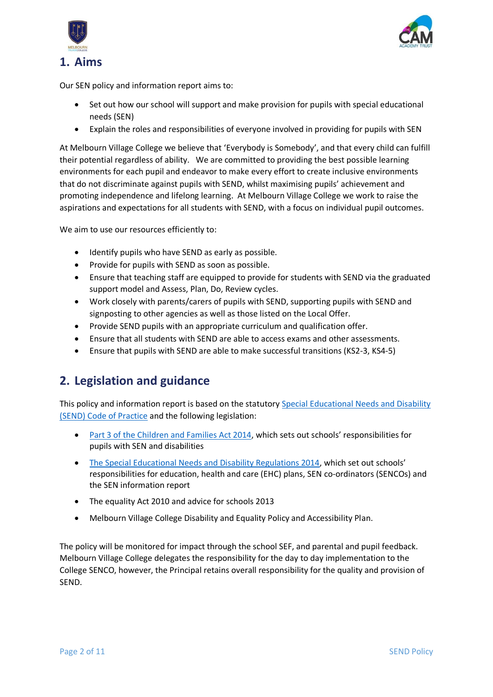



<span id="page-1-0"></span>Our SEN policy and information report aims to:

- Set out how our school will support and make provision for pupils with special educational needs (SEN)
- Explain the roles and responsibilities of everyone involved in providing for pupils with SEN

At Melbourn Village College we believe that 'Everybody is Somebody', and that every child can fulfill their potential regardless of ability. We are committed to providing the best possible learning environments for each pupil and endeavor to make every effort to create inclusive environments that do not discriminate against pupils with SEND, whilst maximising pupils' achievement and promoting independence and lifelong learning. At Melbourn Village College we work to raise the aspirations and expectations for all students with SEND, with a focus on individual pupil outcomes.

We aim to use our resources efficiently to:

- Identify pupils who have SEND as early as possible.
- Provide for pupils with SEND as soon as possible.
- Ensure that teaching staff are equipped to provide for students with SEND via the graduated support model and Assess, Plan, Do, Review cycles.
- Work closely with parents/carers of pupils with SEND, supporting pupils with SEND and signposting to other agencies as well as those listed on the Local Offer.
- Provide SEND pupils with an appropriate curriculum and qualification offer.
- Ensure that all students with SEND are able to access exams and other assessments.
- Ensure that pupils with SEND are able to make successful transitions (KS2-3, KS4-5)

### <span id="page-1-1"></span>**2. Legislation and guidance**

This policy and information report is based on the statutory [Special Educational Needs and Disability](https://www.gov.uk/government/uploads/system/uploads/attachment_data/file/398815/SEND_Code_of_Practice_January_2015.pdf)  [\(SEND\) Code of Practice](https://www.gov.uk/government/uploads/system/uploads/attachment_data/file/398815/SEND_Code_of_Practice_January_2015.pdf) and the following legislation:

- [Part 3 of the Children and Families Act 2014,](http://www.legislation.gov.uk/ukpga/2014/6/part/3) which sets out schools' responsibilities for pupils with SEN and disabilities
- [The Special Educational Needs and Disability Regulations 2014,](http://www.legislation.gov.uk/uksi/2014/1530/contents/made) which set out schools' responsibilities for education, health and care (EHC) plans, SEN co-ordinators (SENCOs) and the SEN information report
- The equality Act 2010 and advice for schools 2013
- Melbourn Village College Disability and Equality Policy and Accessibility Plan.

The policy will be monitored for impact through the school SEF, and parental and pupil feedback. Melbourn Village College delegates the responsibility for the day to day implementation to the College SENCO, however, the Principal retains overall responsibility for the quality and provision of SEND.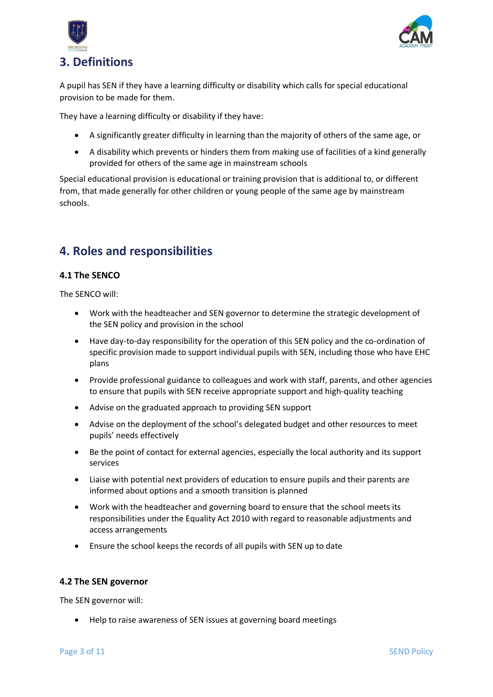



# <span id="page-2-0"></span>**3. Definitions**

A pupil has SEN if they have a learning difficulty or disability which calls for special educational provision to be made for them.

They have a learning difficulty or disability if they have:

- A significantly greater difficulty in learning than the majority of others of the same age, or
- A disability which prevents or hinders them from making use of facilities of a kind generally provided for others of the same age in mainstream schools

Special educational provision is educational or training provision that is additional to, or different from, that made generally for other children or young people of the same age by mainstream schools.

# <span id="page-2-1"></span>**4. Roles and responsibilities**

#### <span id="page-2-2"></span>**4.1 The SENCO**

The SENCO will:

- Work with the headteacher and SEN governor to determine the strategic development of the SEN policy and provision in the school
- Have day-to-day responsibility for the operation of this SEN policy and the co-ordination of specific provision made to support individual pupils with SEN, including those who have EHC plans
- Provide professional guidance to colleagues and work with staff, parents, and other agencies to ensure that pupils with SEN receive appropriate support and high-quality teaching
- Advise on the graduated approach to providing SEN support
- Advise on the deployment of the school's delegated budget and other resources to meet pupils' needs effectively
- Be the point of contact for external agencies, especially the local authority and its support services
- Liaise with potential next providers of education to ensure pupils and their parents are informed about options and a smooth transition is planned
- Work with the headteacher and governing board to ensure that the school meets its responsibilities under the Equality Act 2010 with regard to reasonable adjustments and access arrangements
- Ensure the school keeps the records of all pupils with SEN up to date

#### <span id="page-2-3"></span>**4.2 The SEN governor**

The SEN governor will:

• Help to raise awareness of SEN issues at governing board meetings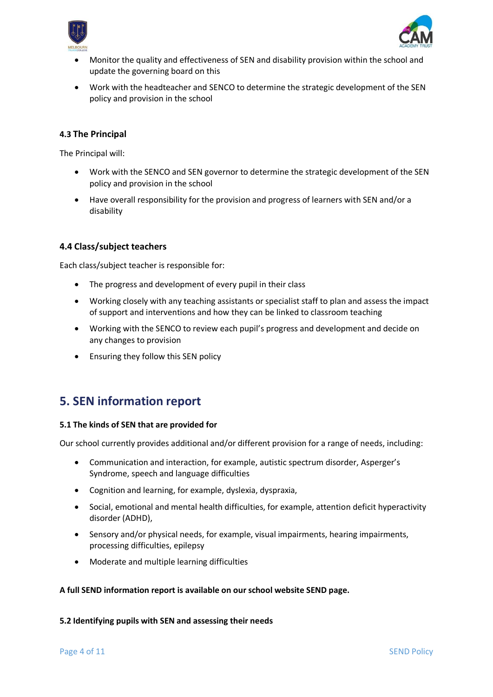



- Monitor the quality and effectiveness of SEN and disability provision within the school and update the governing board on this
- Work with the headteacher and SENCO to determine the strategic development of the SEN policy and provision in the school

#### <span id="page-3-0"></span>**4.3 The Principal**

The Principal will:

- Work with the SENCO and SEN governor to determine the strategic development of the SEN policy and provision in the school
- Have overall responsibility for the provision and progress of learners with SEN and/or a disability

#### <span id="page-3-1"></span>**4.4 Class/subject teachers**

Each class/subject teacher is responsible for:

- The progress and development of every pupil in their class
- Working closely with any teaching assistants or specialist staff to plan and assess the impact of support and interventions and how they can be linked to classroom teaching
- Working with the SENCO to review each pupil's progress and development and decide on any changes to provision
- Ensuring they follow this SEN policy

### <span id="page-3-2"></span>**5. SEN information report**

#### **5.1 The kinds of SEN that are provided for**

Our school currently provides additional and/or different provision for a range of needs, including:

- Communication and interaction, for example, autistic spectrum disorder, Asperger's Syndrome, speech and language difficulties
- Cognition and learning, for example, dyslexia, dyspraxia,
- Social, emotional and mental health difficulties, for example, attention deficit hyperactivity disorder (ADHD),
- Sensory and/or physical needs, for example, visual impairments, hearing impairments, processing difficulties, epilepsy
- Moderate and multiple learning difficulties

#### **A full SEND information report is available on our school website SEND page.**

#### **5.2 Identifying pupils with SEN and assessing their needs**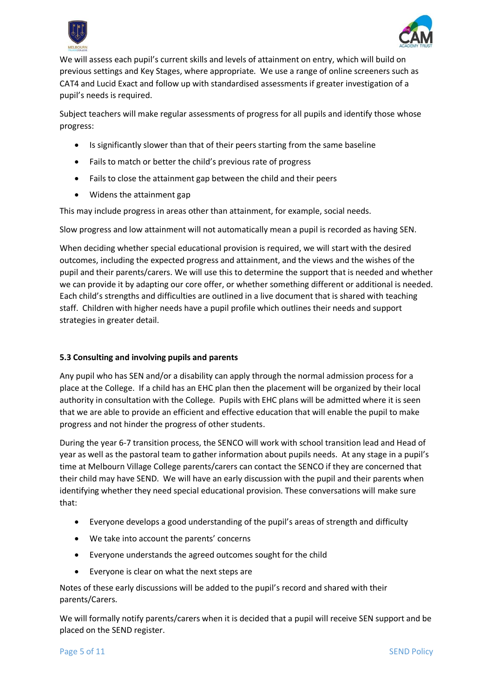



We will assess each pupil's current skills and levels of attainment on entry, which will build on previous settings and Key Stages, where appropriate. We use a range of online screeners such as CAT4 and Lucid Exact and follow up with standardised assessments if greater investigation of a pupil's needs is required.

Subject teachers will make regular assessments of progress for all pupils and identify those whose progress:

- Is significantly slower than that of their peers starting from the same baseline
- Fails to match or better the child's previous rate of progress
- Fails to close the attainment gap between the child and their peers
- Widens the attainment gap

This may include progress in areas other than attainment, for example, social needs.

Slow progress and low attainment will not automatically mean a pupil is recorded as having SEN.

When deciding whether special educational provision is required, we will start with the desired outcomes, including the expected progress and attainment, and the views and the wishes of the pupil and their parents/carers. We will use this to determine the support that is needed and whether we can provide it by adapting our core offer, or whether something different or additional is needed. Each child's strengths and difficulties are outlined in a live document that is shared with teaching staff. Children with higher needs have a pupil profile which outlines their needs and support strategies in greater detail.

#### **5.3 Consulting and involving pupils and parents**

Any pupil who has SEN and/or a disability can apply through the normal admission process for a place at the College. If a child has an EHC plan then the placement will be organized by their local authority in consultation with the College. Pupils with EHC plans will be admitted where it is seen that we are able to provide an efficient and effective education that will enable the pupil to make progress and not hinder the progress of other students.

During the year 6-7 transition process, the SENCO will work with school transition lead and Head of year as well as the pastoral team to gather information about pupils needs. At any stage in a pupil's time at Melbourn Village College parents/carers can contact the SENCO if they are concerned that their child may have SEND. We will have an early discussion with the pupil and their parents when identifying whether they need special educational provision. These conversations will make sure that:

- Everyone develops a good understanding of the pupil's areas of strength and difficulty
- We take into account the parents' concerns
- Everyone understands the agreed outcomes sought for the child
- Everyone is clear on what the next steps are

Notes of these early discussions will be added to the pupil's record and shared with their parents/Carers.

We will formally notify parents/carers when it is decided that a pupil will receive SEN support and be placed on the SEND register.

Page 5 of 11 SEND Policy and the set of the set of the set of the set of the set of the set of the set of the set of the set of the set of the set of the set of the set of the set of the set of the set of the set of the se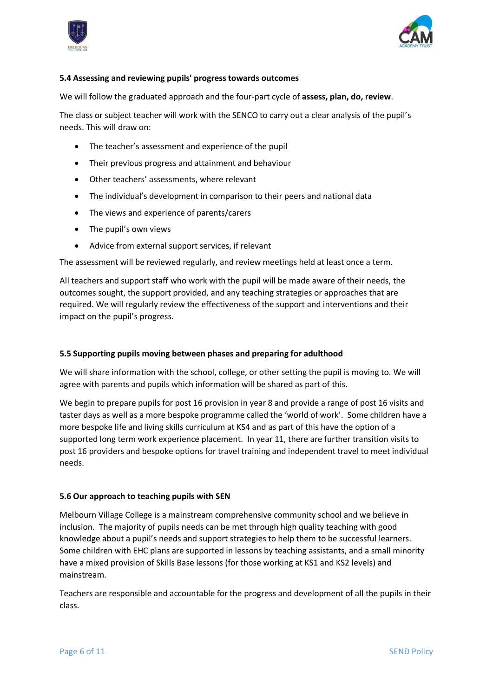



#### **5.4 Assessing and reviewing pupils' progress towards outcomes**

We will follow the graduated approach and the four-part cycle of **assess, plan, do, review**.

The class or subject teacher will work with the SENCO to carry out a clear analysis of the pupil's needs. This will draw on:

- The teacher's assessment and experience of the pupil
- Their previous progress and attainment and behaviour
- Other teachers' assessments, where relevant
- The individual's development in comparison to their peers and national data
- The views and experience of parents/carers
- The pupil's own views
- Advice from external support services, if relevant

The assessment will be reviewed regularly, and review meetings held at least once a term.

All teachers and support staff who work with the pupil will be made aware of their needs, the outcomes sought, the support provided, and any teaching strategies or approaches that are required. We will regularly review the effectiveness of the support and interventions and their impact on the pupil's progress.

#### **5.5 Supporting pupils moving between phases and preparing for adulthood**

We will share information with the school, college, or other setting the pupil is moving to. We will agree with parents and pupils which information will be shared as part of this.

We begin to prepare pupils for post 16 provision in year 8 and provide a range of post 16 visits and taster days as well as a more bespoke programme called the 'world of work'. Some children have a more bespoke life and living skills curriculum at KS4 and as part of this have the option of a supported long term work experience placement. In year 11, there are further transition visits to post 16 providers and bespoke options for travel training and independent travel to meet individual needs.

#### **5.6 Our approach to teaching pupils with SEN**

Melbourn Village College is a mainstream comprehensive community school and we believe in inclusion. The majority of pupils needs can be met through high quality teaching with good knowledge about a pupil's needs and support strategies to help them to be successful learners. Some children with EHC plans are supported in lessons by teaching assistants, and a small minority have a mixed provision of Skills Base lessons (for those working at KS1 and KS2 levels) and mainstream.

Teachers are responsible and accountable for the progress and development of all the pupils in their class.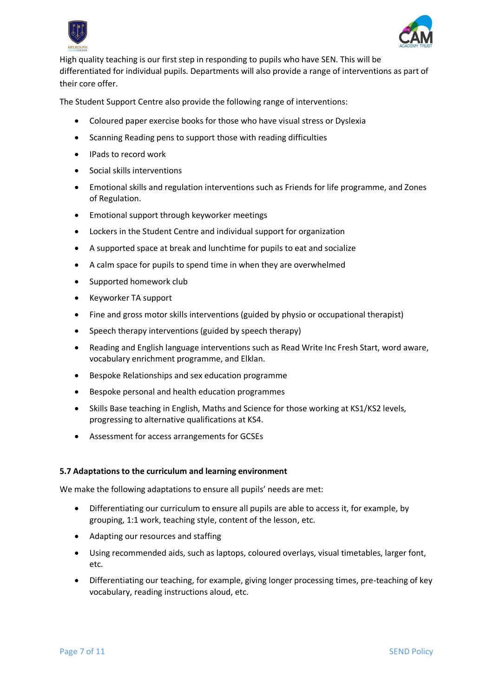



High quality teaching is our first step in responding to pupils who have SEN. This will be differentiated for individual pupils. Departments will also provide a range of interventions as part of their core offer.

The Student Support Centre also provide the following range of interventions:

- Coloured paper exercise books for those who have visual stress or Dyslexia
- Scanning Reading pens to support those with reading difficulties
- IPads to record work
- Social skills interventions
- Emotional skills and regulation interventions such as Friends for life programme, and Zones of Regulation.
- Emotional support through keyworker meetings
- Lockers in the Student Centre and individual support for organization
- A supported space at break and lunchtime for pupils to eat and socialize
- A calm space for pupils to spend time in when they are overwhelmed
- Supported homework club
- Keyworker TA support
- Fine and gross motor skills interventions (guided by physio or occupational therapist)
- Speech therapy interventions (guided by speech therapy)
- Reading and English language interventions such as Read Write Inc Fresh Start, word aware, vocabulary enrichment programme, and Elklan.
- Bespoke Relationships and sex education programme
- Bespoke personal and health education programmes
- Skills Base teaching in English, Maths and Science for those working at KS1/KS2 levels, progressing to alternative qualifications at KS4.
- Assessment for access arrangements for GCSEs

#### **5.7 Adaptations to the curriculum and learning environment**

We make the following adaptations to ensure all pupils' needs are met:

- Differentiating our curriculum to ensure all pupils are able to access it, for example, by grouping, 1:1 work, teaching style, content of the lesson, etc.
- Adapting our resources and staffing
- Using recommended aids, such as laptops, coloured overlays, visual timetables, larger font, etc.
- Differentiating our teaching, for example, giving longer processing times, pre-teaching of key vocabulary, reading instructions aloud, etc.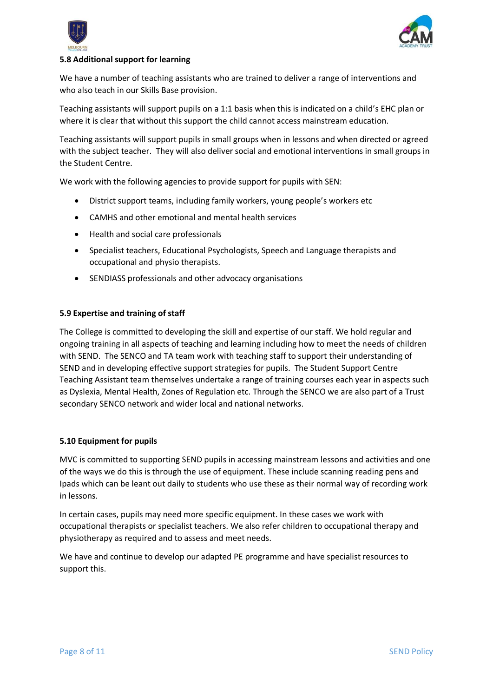



#### **5.8 Additional support for learning**

We have a number of teaching assistants who are trained to deliver a range of interventions and who also teach in our Skills Base provision.

Teaching assistants will support pupils on a 1:1 basis when this is indicated on a child's EHC plan or where it is clear that without this support the child cannot access mainstream education.

Teaching assistants will support pupils in small groups when in lessons and when directed or agreed with the subject teacher. They will also deliver social and emotional interventions in small groups in the Student Centre.

We work with the following agencies to provide support for pupils with SEN:

- District support teams, including family workers, young people's workers etc
- CAMHS and other emotional and mental health services
- Health and social care professionals
- Specialist teachers, Educational Psychologists, Speech and Language therapists and occupational and physio therapists.
- SENDIASS professionals and other advocacy organisations

#### **5.9 Expertise and training of staff**

The College is committed to developing the skill and expertise of our staff. We hold regular and ongoing training in all aspects of teaching and learning including how to meet the needs of children with SEND. The SENCO and TA team work with teaching staff to support their understanding of SEND and in developing effective support strategies for pupils. The Student Support Centre Teaching Assistant team themselves undertake a range of training courses each year in aspects such as Dyslexia, Mental Health, Zones of Regulation etc. Through the SENCO we are also part of a Trust secondary SENCO network and wider local and national networks.

#### **5.10 Equipment for pupils**

MVC is committed to supporting SEND pupils in accessing mainstream lessons and activities and one of the ways we do this is through the use of equipment. These include scanning reading pens and Ipads which can be leant out daily to students who use these as their normal way of recording work in lessons.

In certain cases, pupils may need more specific equipment. In these cases we work with occupational therapists or specialist teachers. We also refer children to occupational therapy and physiotherapy as required and to assess and meet needs.

We have and continue to develop our adapted PE programme and have specialist resources to support this.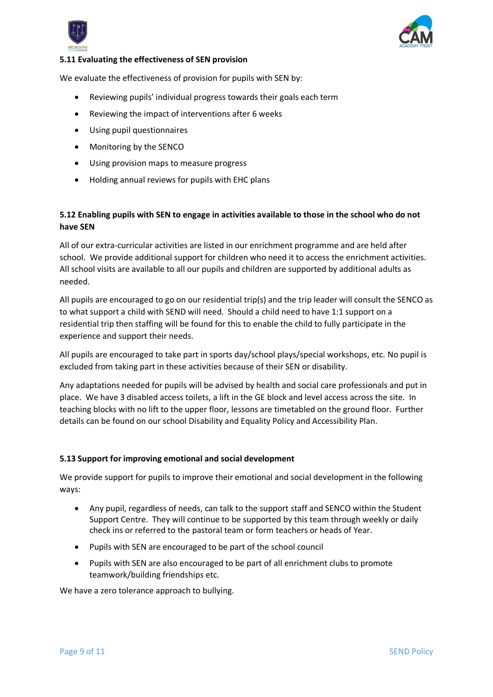



#### **5.11 Evaluating the effectiveness of SEN provision**

We evaluate the effectiveness of provision for pupils with SEN by:

- Reviewing pupils' individual progress towards their goals each term
- Reviewing the impact of interventions after 6 weeks
- Using pupil questionnaires
- Monitoring by the SENCO
- Using provision maps to measure progress
- Holding annual reviews for pupils with EHC plans

#### **5.12 Enabling pupils with SEN to engage in activities available to those in the school who do not have SEN**

All of our extra-curricular activities are listed in our enrichment programme and are held after school. We provide additional support for children who need it to access the enrichment activities. All school visits are available to all our pupils and children are supported by additional adults as needed.

All pupils are encouraged to go on our residential trip(s) and the trip leader will consult the SENCO as to what support a child with SEND will need. Should a child need to have 1:1 support on a residential trip then staffing will be found for this to enable the child to fully participate in the experience and support their needs.

All pupils are encouraged to take part in sports day/school plays/special workshops, etc. No pupil is excluded from taking part in these activities because of their SEN or disability.

Any adaptations needed for pupils will be advised by health and social care professionals and put in place. We have 3 disabled access toilets, a lift in the GE block and level access across the site. In teaching blocks with no lift to the upper floor, lessons are timetabled on the ground floor. Further details can be found on our school Disability and Equality Policy and Accessibility Plan.

#### **5.13 Support for improving emotional and social development**

We provide support for pupils to improve their emotional and social development in the following ways:

- Any pupil, regardless of needs, can talk to the support staff and SENCO within the Student Support Centre. They will continue to be supported by this team through weekly or daily check ins or referred to the pastoral team or form teachers or heads of Year.
- Pupils with SEN are encouraged to be part of the school council
- Pupils with SEN are also encouraged to be part of all enrichment clubs to promote teamwork/building friendships etc.

We have a zero tolerance approach to bullying.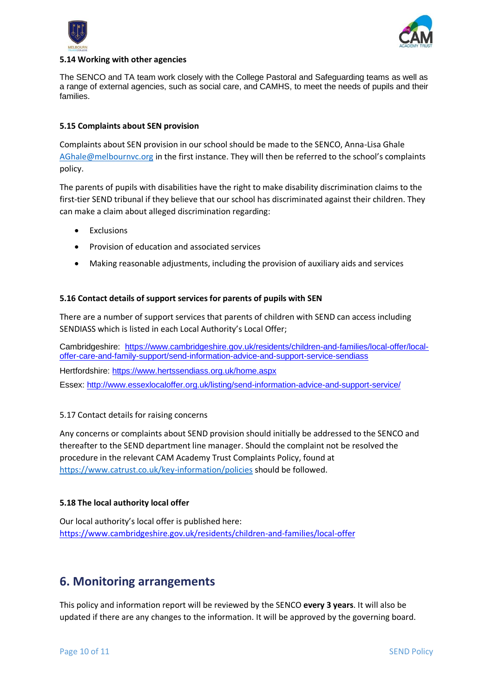



#### **5.14 Working with other agencies**

The SENCO and TA team work closely with the College Pastoral and Safeguarding teams as well as a range of external agencies, such as social care, and CAMHS, to meet the needs of pupils and their families.

#### **5.15 Complaints about SEN provision**

Complaints about SEN provision in our school should be made to the SENCO, Anna-Lisa Ghale [AGhale@melbournvc.org](mailto:AGhale@melbournvc.org) in the first instance. They will then be referred to the school's complaints policy.

The parents of pupils with disabilities have the right to make disability discrimination claims to the first-tier SEND tribunal if they believe that our school has discriminated against their children. They can make a claim about alleged discrimination regarding:

- **Exclusions**
- Provision of education and associated services
- Making reasonable adjustments, including the provision of auxiliary aids and services

#### **5.16 Contact details of support services for parents of pupils with SEN**

There are a number of support services that parents of children with SEND can access including SENDIASS which is listed in each Local Authority's Local Offer;

Cambridgeshire: [https://www.cambridgeshire.gov.uk/residents/children-and-families/local-offer/local](https://www.cambridgeshire.gov.uk/residents/children-and-families/local-offer/local-offer-care-and-family-support/send-information-advice-and-support-service-sendiass)[offer-care-and-family-support/send-information-advice-and-support-service-sendiass](https://www.cambridgeshire.gov.uk/residents/children-and-families/local-offer/local-offer-care-and-family-support/send-information-advice-and-support-service-sendiass) Hertfordshire:<https://www.hertssendiass.org.uk/home.aspx> Essex:<http://www.essexlocaloffer.org.uk/listing/send-information-advice-and-support-service/>

#### 5.17 Contact details for raising concerns

Any concerns or complaints about SEND provision should initially be addressed to the SENCO and thereafter to the SEND department line manager. Should the complaint not be resolved the procedure in the relevant CAM Academy Trust Complaints Policy, found at <https://www.catrust.co.uk/key-information/policies> should be followed.

#### **5.18 The local authority local offer**

Our local authority's local offer is published here: <https://www.cambridgeshire.gov.uk/residents/children-and-families/local-offer>

### <span id="page-9-0"></span>**6. Monitoring arrangements**

This policy and information report will be reviewed by the SENCO **every 3 years**. It will also be updated if there are any changes to the information. It will be approved by the governing board.